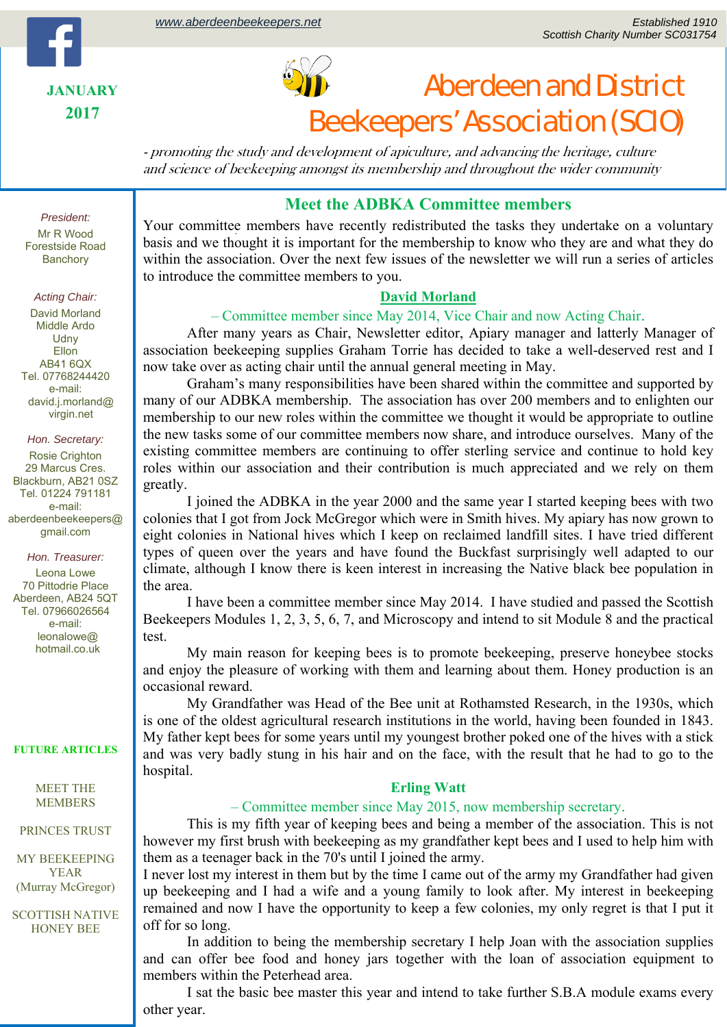



# Aberdeen and District Beekeepers' Association (SCIO)

- promoting the study and development of apiculture, and advancing the heritage, culture and science of beekeeping amongst its membership and throughout the wider community

## *President:*  Mr R Wood Forestside Road

Banchory

### *Acting Chair:*

David Morland Middle Ardo **Udny** Ellon AB41 6QX Tel. 07768244420 e-mail: david.j.morland@ virgin.net

### *Hon. Secretary:*

Rosie Crighton 29 Marcus Cres. Blackburn, AB21 0SZ Tel. 01224 791181 e-mail: aberdeenbeekeepers@ gmail.com

*Hon. Treasurer:*  Leona Lowe 70 Pittodrie Place Aberdeen, AB24 5QT Tel. 07966026564 e-mail: leonalowe@ hotmail.co.uk

#### **FUTURE ARTICLES**

MEET THE MEMBERS

#### PRINCES TRUST

MY BEEKEEPING YEAR (Murray McGregor)

SCOTTISH NATIVE HONEY BEE

### **Meet the ADBKA Committee members**

. Your committee members have recently redistributed the tasks they undertake on a voluntary basis and we thought it is important for the membership to know who they are and what they do within the association. Over the next few issues of the newsletter we will run a series of articles to introduce the committee members to you.

### **David Morland**

### – Committee member since May 2014, Vice Chair and now Acting Chair.

After many years as Chair, Newsletter editor, Apiary manager and latterly Manager of association beekeeping supplies Graham Torrie has decided to take a well-deserved rest and I now take over as acting chair until the annual general meeting in May.

Graham's many responsibilities have been shared within the committee and supported by many of our ADBKA membership. The association has over 200 members and to enlighten our membership to our new roles within the committee we thought it would be appropriate to outline the new tasks some of our committee members now share, and introduce ourselves. Many of the existing committee members are continuing to offer sterling service and continue to hold key roles within our association and their contribution is much appreciated and we rely on them greatly.

I joined the ADBKA in the year 2000 and the same year I started keeping bees with two colonies that I got from Jock McGregor which were in Smith hives. My apiary has now grown to eight colonies in National hives which I keep on reclaimed landfill sites. I have tried different types of queen over the years and have found the Buckfast surprisingly well adapted to our climate, although I know there is keen interest in increasing the Native black bee population in the area.

I have been a committee member since May 2014. I have studied and passed the Scottish Beekeepers Modules 1, 2, 3, 5, 6, 7, and Microscopy and intend to sit Module 8 and the practical test.

My main reason for keeping bees is to promote beekeeping, preserve honeybee stocks and enjoy the pleasure of working with them and learning about them. Honey production is an occasional reward.

My Grandfather was Head of the Bee unit at Rothamsted Research, in the 1930s, which is one of the oldest agricultural research institutions in the world, having been founded in 1843. My father kept bees for some years until my youngest brother poked one of the hives with a stick and was very badly stung in his hair and on the face, with the result that he had to go to the hospital.

### **Erling Watt**

### – Committee member since May 2015, now membership secretary.

This is my fifth year of keeping bees and being a member of the association. This is not however my first brush with beekeeping as my grandfather kept bees and I used to help him with them as a teenager back in the 70's until I joined the army.

I never lost my interest in them but by the time I came out of the army my Grandfather had given up beekeeping and I had a wife and a young family to look after. My interest in beekeeping remained and now I have the opportunity to keep a few colonies, my only regret is that I put it off for so long.

In addition to being the membership secretary I help Joan with the association supplies and can offer bee food and honey jars together with the loan of association equipment to members within the Peterhead area.

I sat the basic bee master this year and intend to take further S.B.A module exams every other year.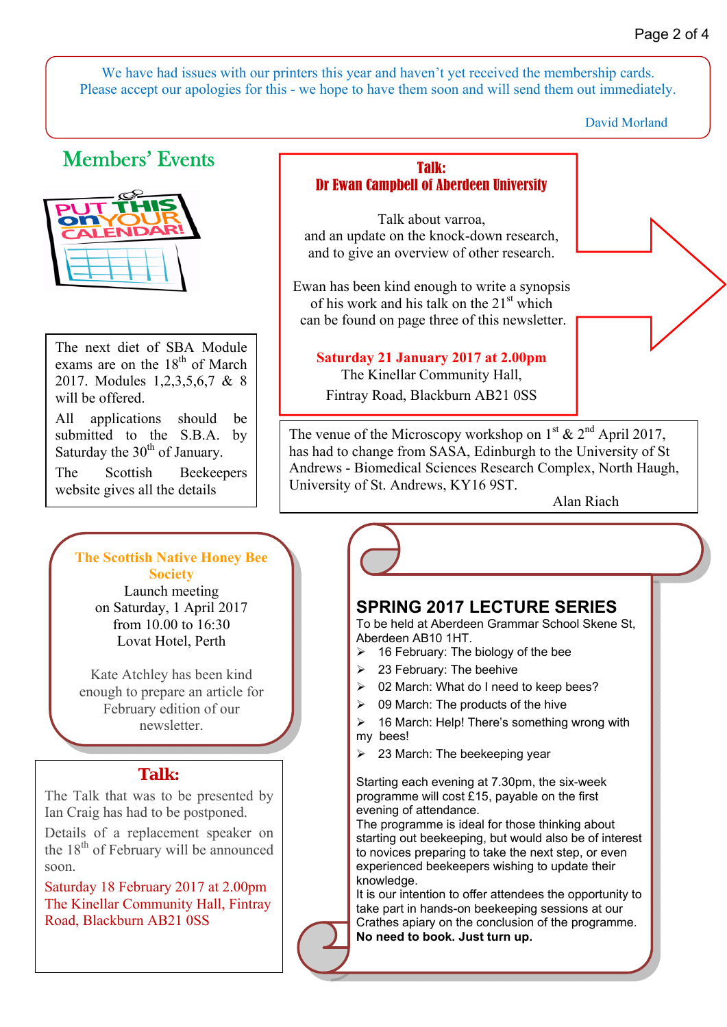We have had issues with our printers this year and haven't yet received the membership cards. Please accept our apologies for this - we hope to have them soon and will send them out immediately.

David Morland

# Members' Events



The next diet of SBA Module exams are on the 18<sup>th</sup> of March 2017. Modules 1,2,3,5,6,7 & 8 will be offered.

All applications should be submitted to the S.B.A. by Saturday the  $30<sup>th</sup>$  of January.

The Scottish Beekeepers website gives all the details

### **The Scottish Native Honey Bee Society**

Launch meeting on Saturday, 1 April 2017 from 10.00 to 16:30 Lovat Hotel, Perth

Kate Atchley has been kind enough to prepare an article for February edition of our newsletter.

# **Talk:**

The Talk that was to be presented by Ian Craig has had to be postponed.

Details of a replacement speaker on the  $18<sup>th</sup>$  of February will be announced soon.

Saturday 18 February 2017 at 2.00pm The Kinellar Community Hall, Fintray Road, Blackburn AB21 0SS

### Talk: Dr Ewan Campbell of Aberdeen University

Talk about varroa, and an update on the knock-down research, and to give an overview of other research.

Ewan has been kind enough to write a synopsis of his work and his talk on the  $21<sup>st</sup>$  which can be found on page three of this newsletter.

# **Saturday 21 January 2017 at 2.00pm**

The Kinellar Community Hall, Fintray Road, Blackburn AB21 0SS

The venue of the Microscopy workshop on  $1^{st}$  &  $2^{nd}$  April 2017, has had to change from SASA, Edinburgh to the University of St Andrews - Biomedical Sciences Research Complex, North Haugh, University of St. Andrews, KY16 9ST.

Alan Riach

# **SPRING 2017 LECTURE SERIES**

To be held at Aberdeen Grammar School Skene St, Aberdeen AB10 1HT.

- 16 February: The biology of the bee
- 23 February: The beehive

ľ

- 02 March: What do I need to keep bees?
- 09 March: The products of the hive
- 16 March: Help! There's something wrong with my bees!
- $\geq$  23 March: The beekeeping year

Starting each evening at 7.30pm, the six-week programme will cost £15, payable on the first evening of attendance.

The programme is ideal for those thinking about starting out beekeeping, but would also be of interest to novices preparing to take the next step, or even experienced beekeepers wishing to update their knowledge.

It is our intention to offer attendees the opportunity to take part in hands-on beekeeping sessions at our Crathes apiary on the conclusion of the programme. **No need to book. Just turn up.**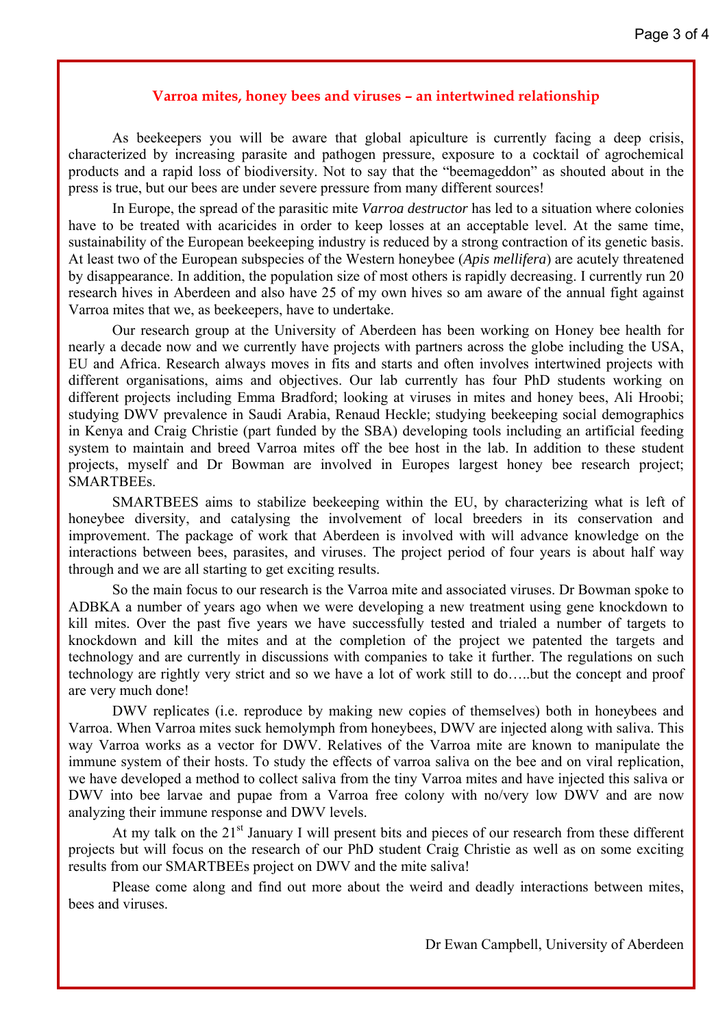### **Varroa mites, honey bees and viruses – an intertwined relationship**

As beekeepers you will be aware that global apiculture is currently facing a deep crisis, characterized by increasing parasite and pathogen pressure, exposure to a cocktail of agrochemical products and a rapid loss of biodiversity. Not to say that the "beemageddon" as shouted about in the press is true, but our bees are under severe pressure from many different sources!

In Europe, the spread of the parasitic mite *Varroa destructor* has led to a situation where colonies have to be treated with acaricides in order to keep losses at an acceptable level. At the same time, sustainability of the European beekeeping industry is reduced by a strong contraction of its genetic basis. At least two of the European subspecies of the Western honeybee (*Apis mellifera*) are acutely threatened by disappearance. In addition, the population size of most others is rapidly decreasing. I currently run 20 research hives in Aberdeen and also have 25 of my own hives so am aware of the annual fight against Varroa mites that we, as beekeepers, have to undertake.

Our research group at the University of Aberdeen has been working on Honey bee health for nearly a decade now and we currently have projects with partners across the globe including the USA, EU and Africa. Research always moves in fits and starts and often involves intertwined projects with different organisations, aims and objectives. Our lab currently has four PhD students working on different projects including Emma Bradford; looking at viruses in mites and honey bees, Ali Hroobi; studying DWV prevalence in Saudi Arabia, Renaud Heckle; studying beekeeping social demographics in Kenya and Craig Christie (part funded by the SBA) developing tools including an artificial feeding system to maintain and breed Varroa mites off the bee host in the lab. In addition to these student projects, myself and Dr Bowman are involved in Europes largest honey bee research project; SMARTBEEs.

SMARTBEES aims to stabilize beekeeping within the EU, by characterizing what is left of honeybee diversity, and catalysing the involvement of local breeders in its conservation and improvement. The package of work that Aberdeen is involved with will advance knowledge on the interactions between bees, parasites, and viruses. The project period of four years is about half way through and we are all starting to get exciting results.

So the main focus to our research is the Varroa mite and associated viruses. Dr Bowman spoke to ADBKA a number of years ago when we were developing a new treatment using gene knockdown to kill mites. Over the past five years we have successfully tested and trialed a number of targets to knockdown and kill the mites and at the completion of the project we patented the targets and technology and are currently in discussions with companies to take it further. The regulations on such technology are rightly very strict and so we have a lot of work still to do…..but the concept and proof are very much done!

DWV replicates (i.e. reproduce by making new copies of themselves) both in honeybees and Varroa. When Varroa mites suck hemolymph from honeybees, DWV are injected along with saliva. This way Varroa works as a vector for DWV. Relatives of the Varroa mite are known to manipulate the immune system of their hosts. To study the effects of varroa saliva on the bee and on viral replication, we have developed a method to collect saliva from the tiny Varroa mites and have injected this saliva or DWV into bee larvae and pupae from a Varroa free colony with no/very low DWV and are now analyzing their immune response and DWV levels.

At my talk on the  $21<sup>st</sup>$  January I will present bits and pieces of our research from these different projects but will focus on the research of our PhD student Craig Christie as well as on some exciting results from our SMARTBEEs project on DWV and the mite saliva!

Please come along and find out more about the weird and deadly interactions between mites, bees and viruses.

Dr Ewan Campbell, University of Aberdeen